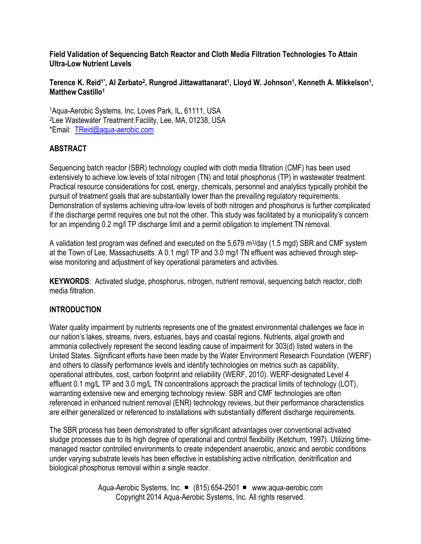**Field Validation of Sequencing Batch Reactor and Cloth Media Filtration Technologies To Attain Ultra-Low Nutrient Levels**

#### $\bf{I}$  Ference K. Reid<sup>1\*</sup>, Al Zerbato<sup>2</sup>, Rungrod Jittawattanarat<sup>1</sup>, Lloyd W. Johnson<sup>1</sup>, Kenneth A. Mikkelson<sup>1</sup>, **MatthewCastillo<sup>1</sup>**

<sup>1</sup>Aqua-Aerobic Systems, Inc, Loves Park, IL, 61111, USA <sup>2</sup>Lee Wastewater Treatment Facility, Lee, MA, 01238, USA \*Email: [TReid@aqua-aerobic.com](mailto:TReid@aqua-aerobic.com)

### **ABSTRACT**

Sequencing batch reactor (SBR) technology coupled with cloth media filtration (CMF) has been used extensively to achieve low levels of total nitrogen (TN) and total phosphorus (TP) in wastewater treatment. Practical resource considerations for cost, energy, chemicals, personnel and analytics typically prohibit the pursuit of treatment goals that are substantially lower than the prevailing regulatory requirements. Demonstration of systems achieving ultra-low levels of both nitrogen and phosphorus is further complicated if the discharge permit requires one but not the other. This study was facilitated by a municipality's concern for an impending 0.2 mg/l TP discharge limit and a permit obligation to implement TN removal.

A validation test program was defined and executed on the 5,679 m<sup>3</sup>/day (1.5 mgd) SBR and CMF system at the Town of Lee, Massachusetts. A 0.1 mg/l TP and 3.0 mg/l TN effluent was achieved through stepwise monitoring and adjustment of key operational parameters and activities.

**KEYWORDS**: Activated sludge, phosphorus, nitrogen, nutrient removal, sequencing batch reactor, cloth media filtration.

### **INTRODUCTION**

Water quality impairment by nutrients represents one of the greatest environmental challenges we face in our nation's lakes, streams, rivers, estuaries, bays and coastal regions. Nutrients, algal growth and ammonia collectively represent the second leading cause of impairment for 303(d) listed waters in the United States. Significant efforts have been made by the Water Environment Research Foundation (WERF) and others to classify performance levels and identify technologies on metrics such as capability, operational attributes, cost, carbon footprint and reliability (WERF, 2010). WERF-designated Level 4 effluent 0.1 mg/L TP and 3.0 mg/L TN concentrations approach the practical limits of technology (LOT), warranting extensive new and emerging technology review. SBR and CMF technologies are often referenced in enhanced nutrient removal (ENR) technology reviews, but their performance characteristics are either generalized or referenced to installations with substantially different discharge requirements.

The SBR process has been demonstrated to offer significant advantages over conventional activated sludge processes due to its high degree of operational and control flexibility (Ketchum, 1997). Utilizing timemanaged reactor controlled environments to create independent anaerobic, anoxic and aerobic conditions under varying substrate levels has been effective in establishing active nitrification, denitrification and biological phosphorus removal within a single reactor.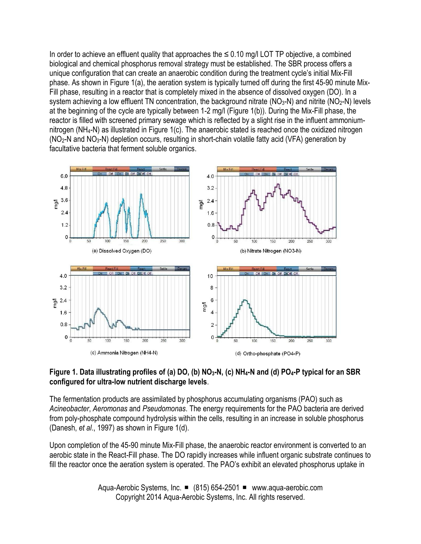In order to achieve an effluent quality that approaches the  $\leq$  0.10 mg/l LOT TP objective, a combined biological and chemical phosphorus removal strategy must be established. The SBR process offers a unique configuration that can create an anaerobic condition during the treatment cycle's initial Mix-Fill phase. As shown in Figure 1(a), the aeration system is typically turned off during the first 45-90 minute Mix-Fill phase, resulting in a reactor that is completely mixed in the absence of dissolved oxygen (DO). In a system achieving a low effluent TN concentration, the background nitrate (NO<sub>3</sub>-N) and nitrite (NO<sub>2</sub>-N) levels at the beginning of the cycle are typically between 1-2 mg/l (Figure 1(b)). During the Mix-Fill phase, the reactor is filled with screened primary sewage which is reflected by a slight rise in the influent ammoniumnitrogen (NH4-N) as illustrated in Figure 1(c). The anaerobic stated is reached once the oxidized nitrogen (NO2-N and NO3-N) depletion occurs, resulting in short-chain volatile fatty acid (VFA) generation by facultative bacteria that ferment soluble organics.



### **Figure 1. Data illustrating profiles of (a) DO, (b) NO3-N, (c) NH4-N and (d) PO4-P typical for an SBR configured for ultra-low nutrient discharge levels**.

The fermentation products are assimilated by phosphorus accumulating organisms (PAO) such as *Acineobacter*, *Aeromonas* and *Pseudomonas*. The energy requirements for the PAO bacteria are derived from poly-phosphate compound hydrolysis within the cells, resulting in an increase in soluble phosphorus (Danesh, *et al*., 1997) as shown in Figure 1(d).

Upon completion of the 45-90 minute Mix-Fill phase, the anaerobic reactor environment is converted to an aerobic state in the React-Fill phase. The DO rapidly increases while influent organic substrate continues to fill the reactor once the aeration system is operated. The PAO's exhibit an elevated phosphorus uptake in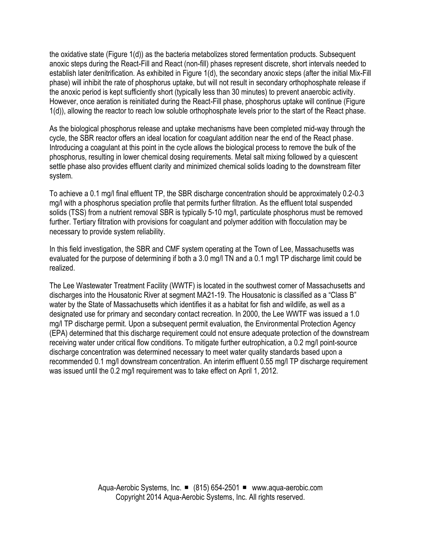the oxidative state (Figure 1(d)) as the bacteria metabolizes stored fermentation products. Subsequent anoxic steps during the React-Fill and React (non-fill) phases represent discrete, short intervals needed to establish later denitrification. As exhibited in Figure 1(d), the secondary anoxic steps (after the initial Mix-Fill phase) will inhibit the rate of phosphorus uptake, but will not result in secondary orthophosphate release if the anoxic period is kept sufficiently short (typically less than 30 minutes) to prevent anaerobic activity. However, once aeration is reinitiated during the React-Fill phase, phosphorus uptake will continue (Figure 1(d)), allowing the reactor to reach low soluble orthophosphate levels prior to the start of the React phase.

As the biological phosphorus release and uptake mechanisms have been completed mid-way through the cycle, the SBR reactor offers an ideal location for coagulant addition near the end of the React phase. Introducing a coagulant at this point in the cycle allows the biological process to remove the bulk of the phosphorus, resulting in lower chemical dosing requirements. Metal salt mixing followed by a quiescent settle phase also provides effluent clarity and minimized chemical solids loading to the downstream filter system.

To achieve a 0.1 mg/l final effluent TP, the SBR discharge concentration should be approximately 0.2-0.3 mg/l with a phosphorus speciation profile that permits further filtration. As the effluent total suspended solids (TSS) from a nutrient removal SBR is typically 5-10 mg/l, particulate phosphorus must be removed further. Tertiary filtration with provisions for coagulant and polymer addition with flocculation may be necessary to provide system reliability.

In this field investigation, the SBR and CMF system operating at the Town of Lee, Massachusetts was evaluated for the purpose of determining if both a 3.0 mg/l TN and a 0.1 mg/l TP discharge limit could be realized.

The Lee Wastewater Treatment Facility (WWTF) is located in the southwest corner of Massachusetts and discharges into the Housatonic River at segment MA21-19. The Housatonic is classified as a "Class B" water by the State of Massachusetts which identifies it as a habitat for fish and wildlife, as well as a designated use for primary and secondary contact recreation. In 2000, the Lee WWTF was issued a 1.0 mg/l TP discharge permit. Upon a subsequent permit evaluation, the Environmental Protection Agency (EPA) determined that this discharge requirement could not ensure adequate protection of the downstream receiving water under critical flow conditions. To mitigate further eutrophication, a 0.2 mg/l point-source discharge concentration was determined necessary to meet water quality standards based upon a recommended 0.1 mg/l downstream concentration. An interim effluent 0.55 mg/l TP discharge requirement was issued until the 0.2 mg/l requirement was to take effect on April 1, 2012.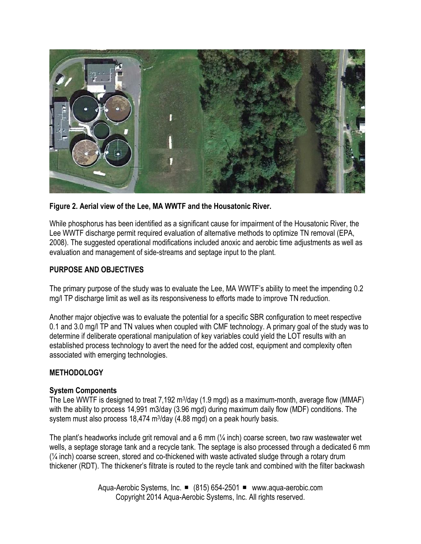

**Figure 2. Aerial view of the Lee, MA WWTF and the Housatonic River.**

While phosphorus has been identified as a significant cause for impairment of the Housatonic River, the Lee WWTF discharge permit required evaluation of alternative methods to optimize TN removal (EPA, 2008). The suggested operational modifications included anoxic and aerobic time adjustments as well as evaluation and management of side-streams and septage input to the plant.

### **PURPOSE AND OBJECTIVES**

The primary purpose of the study was to evaluate the Lee, MA WWTF's ability to meet the impending 0.2 mg/l TP discharge limit as well as its responsiveness to efforts made to improve TN reduction.

Another major objective was to evaluate the potential for a specific SBR configuration to meet respective 0.1 and 3.0 mg/l TP and TN values when coupled with CMF technology. A primary goal of the study was to determine if deliberate operational manipulation of key variables could yield the LOT results with an established process technology to avert the need for the added cost, equipment and complexity often associated with emerging technologies.

### **METHODOLOGY**

### **System Components**

The Lee WWTF is designed to treat 7,192 m<sup>3</sup>/day (1.9 mgd) as a maximum-month, average flow (MMAF) with the ability to process 14,991 m3/day (3.96 mgd) during maximum daily flow (MDF) conditions. The system must also process 18,474 m<sup>3</sup>/day (4.88 mgd) on a peak hourly basis.

The plant's headworks include grit removal and a 6 mm (¼ inch) coarse screen, two raw wastewater wet wells, a septage storage tank and a recycle tank. The septage is also processed through a dedicated 6 mm  $(2/4)$  inch) coarse screen, stored and co-thickened with waste activated sludge through a rotary drum thickener (RDT). The thickener's filtrate is routed to the reycle tank and combined with the filter backwash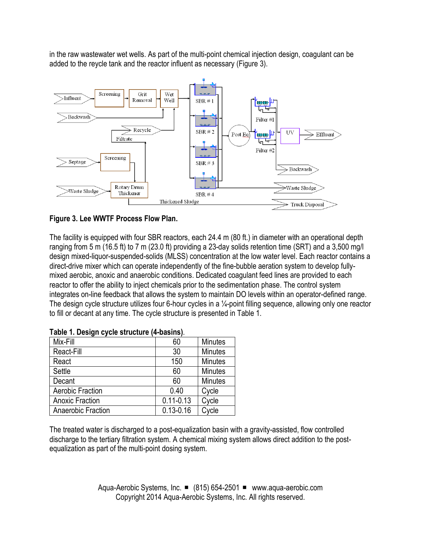in the raw wastewater wet wells. As part of the multi-point chemical injection design, coagulant can be added to the reycle tank and the reactor influent as necessary (Figure 3).





The facility is equipped with four SBR reactors, each 24.4 m (80 ft.) in diameter with an operational depth ranging from 5 m (16.5 ft) to 7 m (23.0 ft) providing a 23-day solids retention time (SRT) and a 3,500 mg/l design mixed-liquor-suspended-solids (MLSS) concentration at the low water level. Each reactor contains a direct-drive mixer which can operate independently of the fine-bubble aeration system to develop fullymixed aerobic, anoxic and anaerobic conditions. Dedicated coagulant feed lines are provided to each reactor to offer the ability to inject chemicals prior to the sedimentation phase. The control system integrates on-line feedback that allows the system to maintain DO levels within an operator-defined range. The design cycle structure utilizes four 6-hour cycles in a ¼-point filling sequence, allowing only one reactor to fill or decant at any time. The cycle structure is presented in Table 1.

| Mix-Fill               | 60            | <b>Minutes</b> |
|------------------------|---------------|----------------|
| React-Fill             | 30            | <b>Minutes</b> |
| React                  | 150           | <b>Minutes</b> |
| Settle                 | 60            | <b>Minutes</b> |
| Decant                 | 60            | <b>Minutes</b> |
| Aerobic Fraction       | 0.40          | Cycle          |
| <b>Anoxic Fraction</b> | $0.11 - 0.13$ | Cycle          |
| Anaerobic Fraction     | $0.13 - 0.16$ | Cycle          |

|  | Table 1. Design cycle structure (4-basins). |  |
|--|---------------------------------------------|--|
|  |                                             |  |

The treated water is discharged to a post-equalization basin with a gravity-assisted, flow controlled discharge to the tertiary filtration system. A chemical mixing system allows direct addition to the postequalization as part of the multi-point dosing system.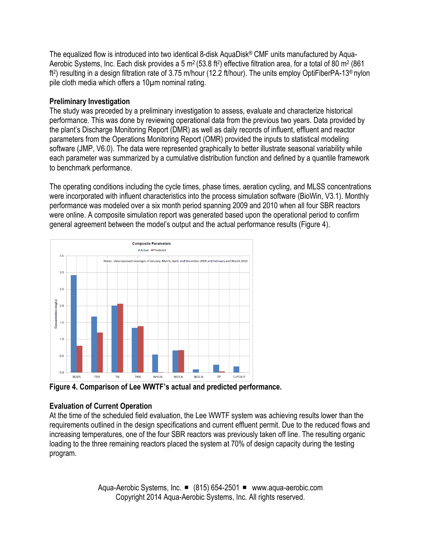The equalized flow is introduced into two identical 8-disk AquaDisk® CMF units manufactured by Aqua-Aerobic Systems, Inc. Each disk provides a 5 m<sup>2</sup> (53.8 ft<sup>2</sup>) effective filtration area, for a total of 80 m<sup>2</sup> (861 ft2 ) resulting in a design filtration rate of 3.75 m/hour (12.2 ft/hour). The units employ OptiFiberPA-13® nylon pile cloth media which offers a 10µm nominal rating.

# **Preliminary Investigation**

The study was preceded by a preliminary investigation to assess, evaluate and characterize historical performance. This was done by reviewing operational data from the previous two years. Data provided by the plant's Discharge Monitoring Report (DMR) as well as daily records of influent, effluent and reactor parameters from the Operations Monitoring Report (OMR) provided the inputs to statistical modeling software (JMP, V6.0). The data were represented graphically to better illustrate seasonal variability while each parameter was summarized by a cumulative distribution function and defined by a quantile framework to benchmark performance.

The operating conditions including the cycle times, phase times, aeration cycling, and MLSS concentrations were incorporated with influent characteristics into the process simulation software (BioWin, V3.1). Monthly performance was modeled over a six month period spanning 2009 and 2010 when all four SBR reactors were online. A composite simulation report was generated based upon the operational period to confirm general agreement between the model's output and the actual performance results (Figure 4).



**Figure 4. Comparison of Lee WWTF's actual and predicted performance.**

# **Evaluation of Current Operation**

At the time of the scheduled field evaluation, the Lee WWTF system was achieving results lower than the requirements outlined in the design specifications and current effluent permit. Due to the reduced flows and increasing temperatures, one of the four SBR reactors was previously taken off line. The resulting organic loading to the three remaining reactors placed the system at 70% of design capacity during the testing program.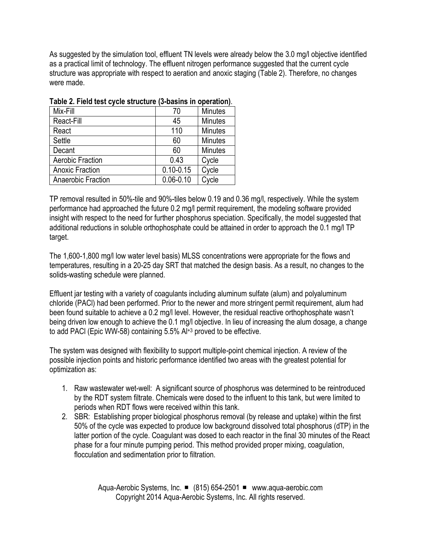As suggested by the simulation tool, effluent TN levels were already below the 3.0 mg/l objective identified as a practical limit of technology. The effluent nitrogen performance suggested that the current cycle structure was appropriate with respect to aeration and anoxic staging (Table 2). Therefore, no changes were made.

| Mix-Fill               | 70            | <b>Minutes</b> |
|------------------------|---------------|----------------|
| React-Fill             | 45            | <b>Minutes</b> |
| React                  | 110           | <b>Minutes</b> |
| Settle                 | 60            | <b>Minutes</b> |
| Decant                 | 60            | <b>Minutes</b> |
| Aerobic Fraction       | 0.43          | Cycle          |
| <b>Anoxic Fraction</b> | $0.10 - 0.15$ | Cycle          |
| Anaerobic Fraction     | $0.06 - 0.10$ | Cycle          |

|  | Table 2. Field test cycle structure (3-basins in operation). |  |  |  |
|--|--------------------------------------------------------------|--|--|--|
|--|--------------------------------------------------------------|--|--|--|

TP removal resulted in 50%-tile and 90%-tiles below 0.19 and 0.36 mg/l, respectively. While the system performance had approached the future 0.2 mg/l permit requirement, the modeling software provided insight with respect to the need for further phosphorus speciation. Specifically, the model suggested that additional reductions in soluble orthophosphate could be attained in order to approach the 0.1 mg/l TP target.

The 1,600-1,800 mg/l low water level basis) MLSS concentrations were appropriate for the flows and temperatures, resulting in a 20-25 day SRT that matched the design basis. As a result, no changes to the solids-wasting schedule were planned.

Effluent jar testing with a variety of coagulants including aluminum sulfate (alum) and polyaluminum chloride (PACl) had been performed. Prior to the newer and more stringent permit requirement, alum had been found suitable to achieve a 0.2 mg/l level. However, the residual reactive orthophosphate wasn't being driven low enough to achieve the 0.1 mg/l objective. In lieu of increasing the alum dosage, a change to add PACl (Epic WW-58) containing 5.5% Al+3 proved to be effective.

The system was designed with flexibility to support multiple-point chemical injection. A review of the possible injection points and historic performance identified two areas with the greatest potential for optimization as:

- 1. Raw wastewater wet-well: A significant source of phosphorus was determined to be reintroduced by the RDT system filtrate. Chemicals were dosed to the influent to this tank, but were limited to periods when RDT flows were received within this tank.
- 2. SBR: Establishing proper biological phosphorus removal (by release and uptake) within the first 50% of the cycle was expected to produce low background dissolved total phosphorus (dTP) in the latter portion of the cycle. Coagulant was dosed to each reactor in the final 30 minutes of the React phase for a four minute pumping period. This method provided proper mixing, coagulation, flocculation and sedimentation prior to filtration.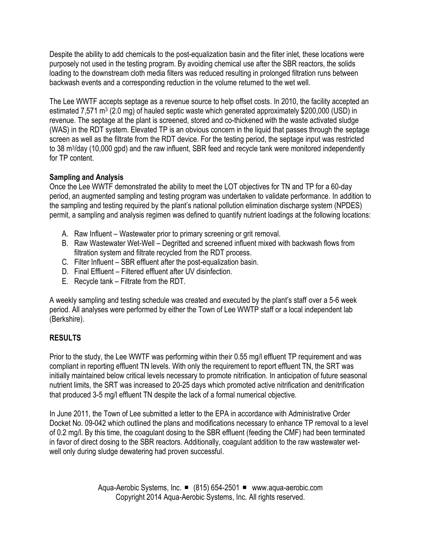Despite the ability to add chemicals to the post-equalization basin and the filter inlet, these locations were purposely not used in the testing program. By avoiding chemical use after the SBR reactors, the solids loading to the downstream cloth media filters was reduced resulting in prolonged filtration runs between backwash events and a corresponding reduction in the volume returned to the wet well.

The Lee WWTF accepts septage as a revenue source to help offset costs. In 2010, the facility accepted an estimated 7,571 m<sup>3</sup> (2.0 mg) of hauled septic waste which generated approximately \$200,000 (USD) in revenue. The septage at the plant is screened, stored and co-thickened with the waste activated sludge (WAS) in the RDT system. Elevated TP is an obvious concern in the liquid that passes through the septage screen as well as the filtrate from the RDT device. For the testing period, the septage input was restricted to 38 m<sup>3</sup>/day (10,000 gpd) and the raw influent, SBR feed and recycle tank were monitored independently for TP content.

# **Sampling and Analysis**

Once the Lee WWTF demonstrated the ability to meet the LOT objectives for TN and TP for a 60-day period, an augmented sampling and testing program was undertaken to validate performance. In addition to the sampling and testing required by the plant's national pollution elimination discharge system (NPDES) permit, a sampling and analysis regimen was defined to quantify nutrient loadings at the following locations:

- A. Raw Influent Wastewater prior to primary screening or grit removal.
- B. Raw Wastewater Wet-Well Degritted and screened influent mixed with backwash flows from filtration system and filtrate recycled from the RDT process.
- C. Filter Influent SBR effluent after the post-equalization basin.
- D. Final Effluent Filtered effluent after UV disinfection.
- E. Recycle tank Filtrate from the RDT.

A weekly sampling and testing schedule was created and executed by the plant's staff over a 5-6 week period. All analyses were performed by either the Town of Lee WWTP staff or a local independent lab (Berkshire).

# **RESULTS**

Prior to the study, the Lee WWTF was performing within their 0.55 mg/l effluent TP requirement and was compliant in reporting effluent TN levels. With only the requirement to report effluent TN, the SRT was initially maintained below critical levels necessary to promote nitrification. In anticipation of future seasonal nutrient limits, the SRT was increased to 20-25 days which promoted active nitrification and denitrification that produced 3-5 mg/l effluent TN despite the lack of a formal numerical objective.

In June 2011, the Town of Lee submitted a letter to the EPA in accordance with Administrative Order Docket No. 09-042 which outlined the plans and modifications necessary to enhance TP removal to a level of 0.2 mg/l. By this time, the coagulant dosing to the SBR effluent (feeding the CMF) had been terminated in favor of direct dosing to the SBR reactors. Additionally, coagulant addition to the raw wastewater wetwell only during sludge dewatering had proven successful.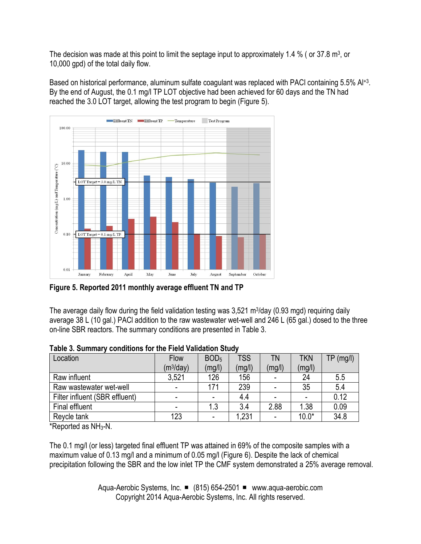The decision was made at this point to limit the septage input to approximately 1.4 % (or 37.8 m<sup>3</sup>, or 10,000 gpd) of the total daily flow.

Based on historical performance, aluminum sulfate coagulant was replaced with PACI containing 5.5% Al<sup>+3</sup>. By the end of August, the 0.1 mg/l TP LOT objective had been achieved for 60 days and the TN had reached the 3.0 LOT target, allowing the test program to begin (Figure 5).



**Figure 5. Reported 2011 monthly average effluent TN and TP**

The average daily flow during the field validation testing was 3,521 m<sup>3</sup>/day (0.93 mgd) requiring daily average 38 L (10 gal.) PACl addition to the raw wastewater wet-well and 246 L (65 gal.) dosed to the three on-line SBR reactors. The summary conditions are presented in Table 3.

| Location                       | <b>Flow</b>              | BOD <sub>5</sub> | <b>TSS</b> | ΤN     | <b>TKN</b> | $TP$ (mg/l) |
|--------------------------------|--------------------------|------------------|------------|--------|------------|-------------|
|                                | (m <sup>3</sup> /day)    | (mg/l)           | (mg/l)     | (mg/l) | (mg/l)     |             |
| Raw influent                   | 3,521                    | 126              | 156        |        | 24         | 5.5         |
| Raw wastewater wet-well        | $\overline{\phantom{a}}$ | 171              | 239        |        | 35         | 5.4         |
| Filter influent (SBR effluent) | $\overline{\phantom{0}}$ |                  | 4.4        |        |            | 0.12        |
| Final effluent                 |                          | 1.3              | 3.4        | 2.88   | 1.38       | 0.09        |
| Revcle tank                    | 123                      |                  | 1,231      |        | $10.0*$    | 34.8        |

| Table 3. Summary conditions for the Field Validation Study |  |
|------------------------------------------------------------|--|
|------------------------------------------------------------|--|

\*Reported as NH3-N.

The 0.1 mg/l (or less) targeted final effluent TP was attained in 69% of the composite samples with a maximum value of 0.13 mg/l and a minimum of 0.05 mg/l (Figure 6). Despite the lack of chemical precipitation following the SBR and the low inlet TP the CMF system demonstrated a 25% average removal.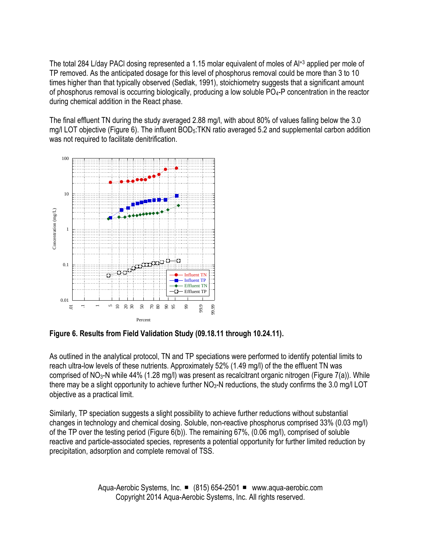The total 284 L/day PACl dosing represented a 1.15 molar equivalent of moles of Al+3 applied per mole of TP removed. As the anticipated dosage for this level of phosphorus removal could be more than 3 to 10 times higher than that typically observed (Sedlak, 1991), stoichiometry suggests that a significant amount of phosphorus removal is occurring biologically, producing a low soluble  $PO<sub>4</sub>-P$  concentration in the reactor during chemical addition in the React phase.

The final effluent TN during the study averaged 2.88 mg/l, with about 80% of values falling below the 3.0 mg/I LOT objective (Figure 6). The influent BOD<sub>5</sub>:TKN ratio averaged 5.2 and supplemental carbon addition was not required to facilitate denitrification.



**Figure 6. Results from Field Validation Study (09.18.11 through 10.24.11).**

As outlined in the analytical protocol, TN and TP speciations were performed to identify potential limits to reach ultra-low levels of these nutrients. Approximately 52% (1.49 mg/l) of the the effluent TN was comprised of NO3-N while 44% (1.28 mg/l) was present as recalcitrant organic nitrogen (Figure 7(a)). While there may be a slight opportunity to achieve further  $NO<sub>3</sub>-N$  reductions, the study confirms the 3.0 mg/l LOT objective as a practical limit.

Similarly, TP speciation suggests a slight possibility to achieve further reductions without substantial changes in technology and chemical dosing. Soluble, non-reactive phosphorus comprised 33% (0.03 mg/l) of the TP over the testing period (Figure 6(b)). The remaining 67%, (0.06 mg/l), comprised of soluble reactive and particle-associated species, represents a potential opportunity for further limited reduction by precipitation, adsorption and complete removal of TSS.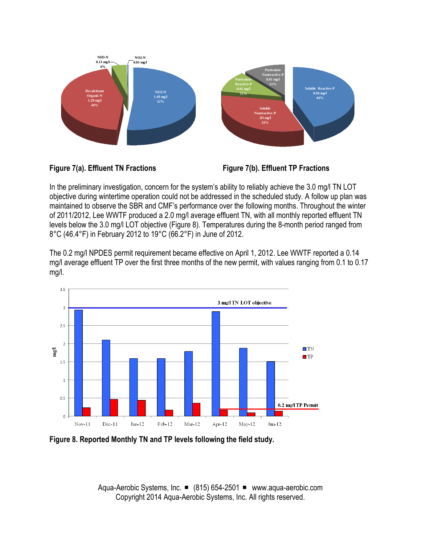![](_page_10_Figure_0.jpeg)

**Figure 7(a). Effluent TN Fractions Figure 7(b). Effluent TP Fractions**

In the preliminary investigation, concern for the system's ability to reliably achieve the 3.0 mg/l TN LOT objective during wintertime operation could not be addressed in the scheduled study. A follow up plan was maintained to observe the SBR and CMF's performance over the following months. Throughout the winter of 2011/2012, Lee WWTF produced a 2.0 mg/l average effluent TN, with all monthly reported effluent TN levels below the 3.0 mg/l LOT objective (Figure 8). Temperatures during the 8-month period ranged from 8°C (46.4°F) in February 2012 to 19°C (66.2°F) in June of 2012.

The 0.2 mg/l NPDES permit requirement became effective on April 1, 2012. Lee WWTF reported a 0.14 mg/l average effluent TP over the first three months of the new permit, with values ranging from 0.1 to 0.17 mg/l.

![](_page_10_Figure_5.jpeg)

![](_page_10_Figure_6.jpeg)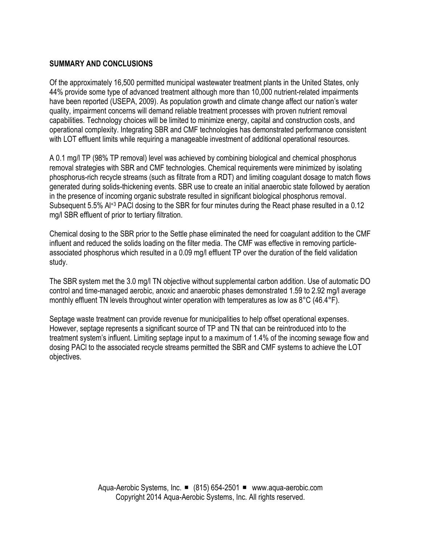### **SUMMARY AND CONCLUSIONS**

Of the approximately 16,500 permitted municipal wastewater treatment plants in the United States, only 44% provide some type of advanced treatment although more than 10,000 nutrient-related impairments have been reported (USEPA, 2009). As population growth and climate change affect our nation's water quality, impairment concerns will demand reliable treatment processes with proven nutrient removal capabilities. Technology choices will be limited to minimize energy, capital and construction costs, and operational complexity. Integrating SBR and CMF technologies has demonstrated performance consistent with LOT effluent limits while requiring a manageable investment of additional operational resources.

A 0.1 mg/l TP (98% TP removal) level was achieved by combining biological and chemical phosphorus removal strategies with SBR and CMF technologies. Chemical requirements were minimized by isolating phosphorus-rich recycle streams (such as filtrate from a RDT) and limiting coagulant dosage to match flows generated during solids-thickening events. SBR use to create an initial anaerobic state followed by aeration in the presence of incoming organic substrate resulted in significant biological phosphorus removal. Subsequent 5.5% Al<sup>+3</sup> PACI dosing to the SBR for four minutes during the React phase resulted in a 0.12 mg/l SBR effluent of prior to tertiary filtration.

Chemical dosing to the SBR prior to the Settle phase eliminated the need for coagulant addition to the CMF influent and reduced the solids loading on the filter media. The CMF was effective in removing particleassociated phosphorus which resulted in a 0.09 mg/l effluent TP over the duration of the field validation study.

The SBR system met the 3.0 mg/l TN objective without supplemental carbon addition. Use of automatic DO control and time-managed aerobic, anoxic and anaerobic phases demonstrated 1.59 to 2.92 mg/l average monthly effluent TN levels throughout winter operation with temperatures as low as 8°C (46.4°F).

Septage waste treatment can provide revenue for municipalities to help offset operational expenses. However, septage represents a significant source of TP and TN that can be reintroduced into to the treatment system's influent. Limiting septage input to a maximum of 1.4% of the incoming sewage flow and dosing PACl to the associated recycle streams permitted the SBR and CMF systems to achieve the LOT objectives.